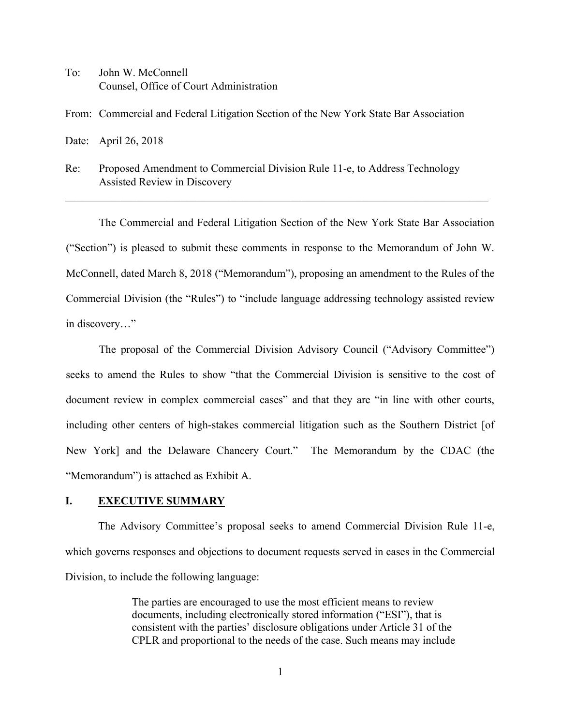To: John W. McConnell Counsel, Office of Court Administration

From: Commercial and Federal Litigation Section of the New York State Bar Association

Date: April 26, 2018

Re: Proposed Amendment to Commercial Division Rule 11-e, to Address Technology Assisted Review in Discovery

The Commercial and Federal Litigation Section of the New York State Bar Association ("Section") is pleased to submit these comments in response to the Memorandum of John W. McConnell, dated March 8, 2018 ("Memorandum"), proposing an amendment to the Rules of the Commercial Division (the "Rules") to "include language addressing technology assisted review in discovery…"

\_\_\_\_\_\_\_\_\_\_\_\_\_\_\_\_\_\_\_\_\_\_\_\_\_\_\_\_\_\_\_\_\_\_\_\_\_\_\_\_\_\_\_\_\_\_\_\_\_\_\_\_\_\_\_\_\_\_\_\_\_\_\_\_\_\_\_\_\_\_\_\_\_\_\_\_\_

The proposal of the Commercial Division Advisory Council ("Advisory Committee") seeks to amend the Rules to show "that the Commercial Division is sensitive to the cost of document review in complex commercial cases" and that they are "in line with other courts, including other centers of high-stakes commercial litigation such as the Southern District [of New York] and the Delaware Chancery Court." The Memorandum by the CDAC (the "Memorandum") is attached as Exhibit A.

## **I. EXECUTIVE SUMMARY**

The Advisory Committee's proposal seeks to amend Commercial Division Rule 11-e, which governs responses and objections to document requests served in cases in the Commercial Division, to include the following language:

> The parties are encouraged to use the most efficient means to review documents, including electronically stored information ("ESI"), that is consistent with the parties' disclosure obligations under Article 31 of the CPLR and proportional to the needs of the case. Such means may include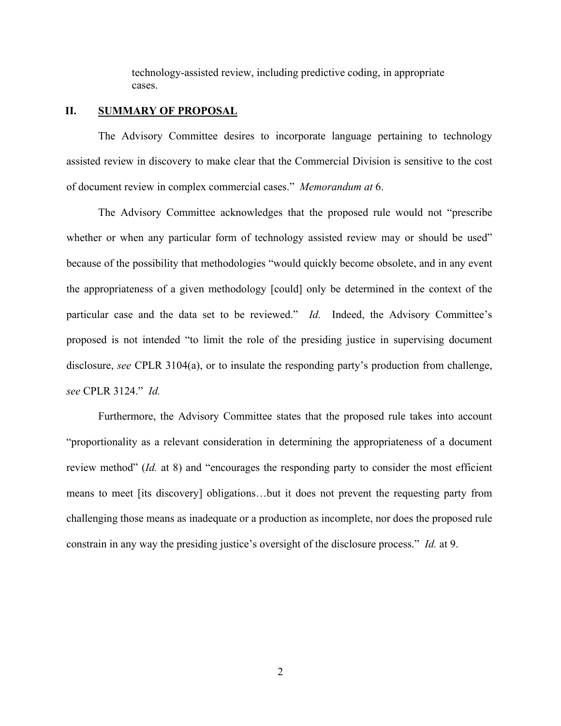technology-assisted review, including predictive coding, in appropriate cases.

## **II. SUMMARY OF PROPOSAL**

The Advisory Committee desires to incorporate language pertaining to technology assisted review in discovery to make clear that the Commercial Division is sensitive to the cost of document review in complex commercial cases." *Memorandum at* 6.

The Advisory Committee acknowledges that the proposed rule would not "prescribe whether or when any particular form of technology assisted review may or should be used" because of the possibility that methodologies "would quickly become obsolete, and in any event the appropriateness of a given methodology [could] only be determined in the context of the particular case and the data set to be reviewed." *Id.* Indeed, the Advisory Committee's proposed is not intended "to limit the role of the presiding justice in supervising document disclosure, *see* CPLR 3104(a), or to insulate the responding party's production from challenge, *see* CPLR 3124." *Id.*

Furthermore, the Advisory Committee states that the proposed rule takes into account "proportionality as a relevant consideration in determining the appropriateness of a document review method" (*Id.* at 8) and "encourages the responding party to consider the most efficient means to meet [its discovery] obligations…but it does not prevent the requesting party from challenging those means as inadequate or a production as incomplete, nor does the proposed rule constrain in any way the presiding justice's oversight of the disclosure process." *Id.* at 9.